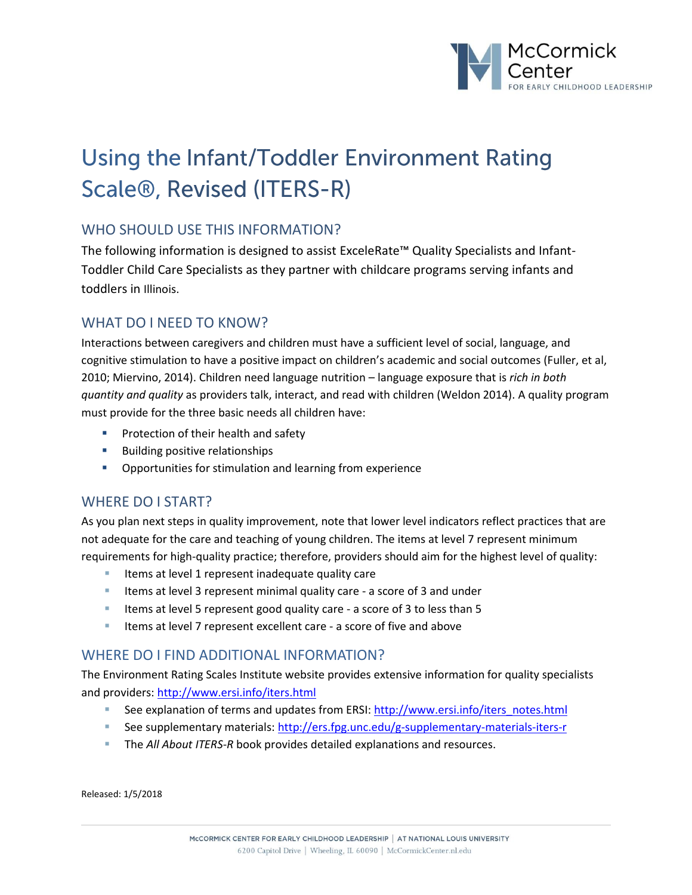

# **Using the Infant/Toddler Environment Rating Scale®, Revised (ITERS-R)**

## WHO SHOULD USE THIS INFORMATION?

The following information is designed to assist ExceleRate™ Quality Specialists and Infant-Toddler Child Care Specialists as they partner with childcare programs serving infants and toddlers in Illinois.

## WHAT DO I NEED TO KNOW?

Interactions between caregivers and children must have a sufficient level of social, language, and cognitive stimulation to have a positive impact on children's academic and social outcomes (Fuller, et al, 2010; Miervino, 2014). Children need language nutrition – language exposure that is *rich in both quantity and quality* as providers talk, interact, and read with children (Weldon 2014). A quality program must provide for the three basic needs all children have:

- **Protection of their health and safety**
- **Building positive relationships**
- **Opportunities for stimulation and learning from experience**

## WHERE DO I START?

As you plan next steps in quality improvement, note that lower level indicators reflect practices that are not adequate for the care and teaching of young children. The items at level 7 represent minimum requirements for high-quality practice; therefore, providers should aim for the highest level of quality:

- Items at level 1 represent inadequate quality care
- Items at level 3 represent minimal quality care a score of 3 and under
- Items at level 5 represent good quality care a score of 3 to less than 5
- Items at level 7 represent excellent care a score of five and above

### WHERE DO I FIND ADDITIONAL INFORMATION?

The Environment Rating Scales Institute website provides extensive information for quality specialists and providers: <http://www.ersi.info/iters.html>

- See explanation of terms and updates from ERSI: [http://www.ersi.info/iters\\_notes.html](http://www.ersi.info/iters_notes.html)
- See supplementary materials:<http://ers.fpg.unc.edu/g-supplementary-materials-iters-r>
- **The All About ITERS-R book provides detailed explanations and resources.**

Released: 1/5/2018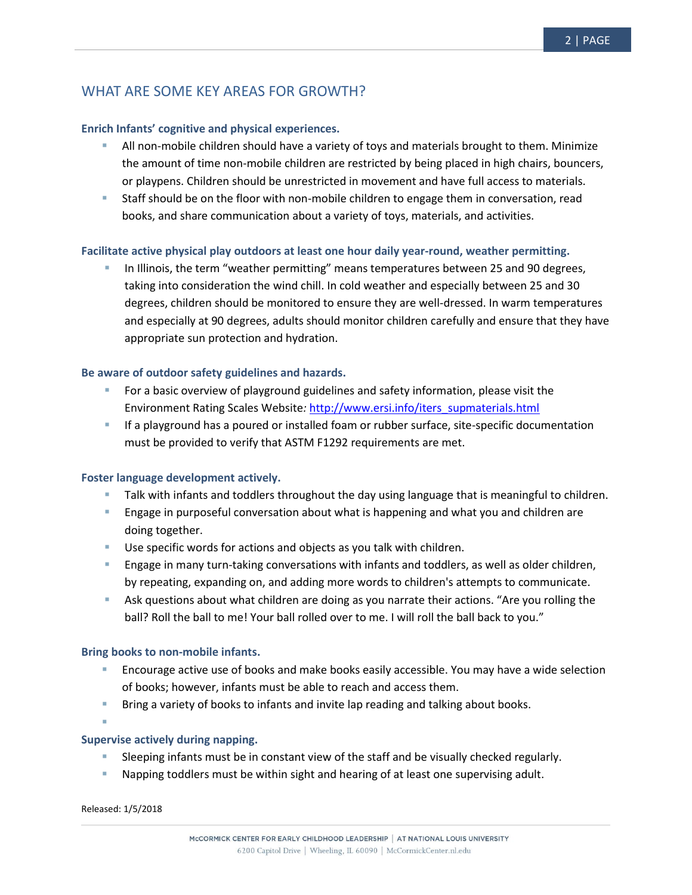# WHAT ARE SOME KEY AREAS FOR GROWTH?

#### **Enrich Infants' cognitive and physical experiences.**

- All non-mobile children should have a variety of toys and materials brought to them. Minimize the amount of time non-mobile children are restricted by being placed in high chairs, bouncers, or playpens. Children should be unrestricted in movement and have full access to materials.
- Staff should be on the floor with non-mobile children to engage them in conversation, read books, and share communication about a variety of toys, materials, and activities.

#### **Facilitate active physical play outdoors at least one hour daily year-round, weather permitting.**

 In Illinois, the term "weather permitting" means temperatures between 25 and 90 degrees, taking into consideration the wind chill. In cold weather and especially between 25 and 30 degrees, children should be monitored to ensure they are well-dressed. In warm temperatures and especially at 90 degrees, adults should monitor children carefully and ensure that they have appropriate sun protection and hydration.

#### **Be aware of outdoor safety guidelines and hazards.**

- For a basic overview of playground guidelines and safety information, please visit the Environment Rating Scales Website*:* [http://www.ersi.info/iters\\_supmaterials.html](http://www.ersi.info/iters_supmaterials.html)
- If a playground has a poured or installed foam or rubber surface, site-specific documentation must be provided to verify that ASTM F1292 requirements are met.

#### **Foster language development actively.**

- **Talk with infants and toddlers throughout the day using language that is meaningful to children.**
- **Engage in purposeful conversation about what is happening and what you and children are** doing together.
- Use specific words for actions and objects as you talk with children.
- **E** Engage in many turn-taking conversations with infants and toddlers, as well as older children, by repeating, expanding on, and adding more words to children's attempts to communicate.
- Ask questions about what children are doing as you narrate their actions. "Are you rolling the ball? Roll the ball to me! Your ball rolled over to me. I will roll the ball back to you."

#### **Bring books to non-mobile infants.**

- Encourage active use of books and make books easily accessible. You may have a wide selection of books; however, infants must be able to reach and access them.
- Bring a variety of books to infants and invite lap reading and talking about books.

ı

#### **Supervise actively during napping.**

- Sleeping infants must be in constant view of the staff and be visually checked regularly.
- Napping toddlers must be within sight and hearing of at least one supervising adult.

Released: 1/5/2018